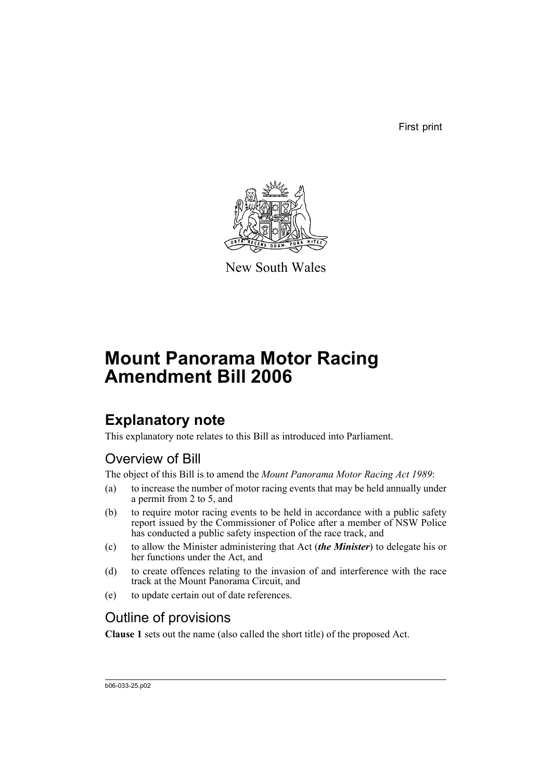First print



New South Wales

# **Mount Panorama Motor Racing Amendment Bill 2006**

## **Explanatory note**

This explanatory note relates to this Bill as introduced into Parliament.

### Overview of Bill

The object of this Bill is to amend the *Mount Panorama Motor Racing Act 1989*:

- (a) to increase the number of motor racing events that may be held annually under a permit from 2 to 5, and
- (b) to require motor racing events to be held in accordance with a public safety report issued by the Commissioner of Police after a member of NSW Police has conducted a public safety inspection of the race track, and
- (c) to allow the Minister administering that Act (*the Minister*) to delegate his or her functions under the Act, and
- (d) to create offences relating to the invasion of and interference with the race track at the Mount Panorama Circuit, and
- (e) to update certain out of date references.

### Outline of provisions

**Clause 1** sets out the name (also called the short title) of the proposed Act.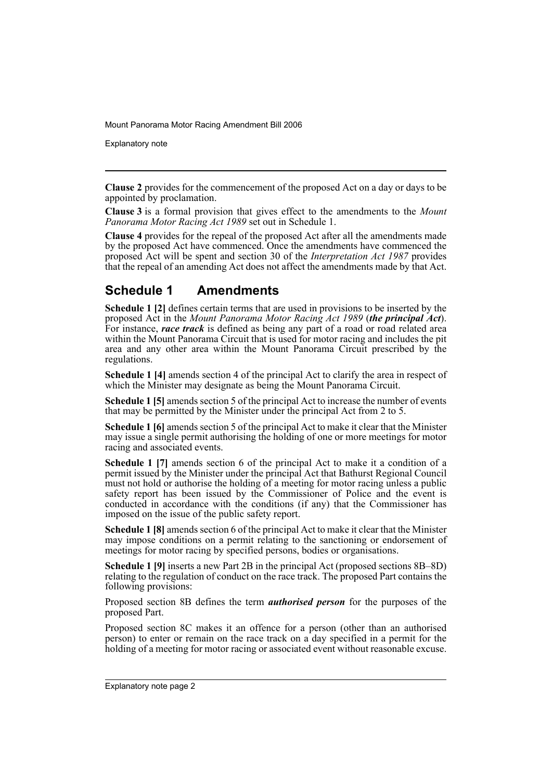Explanatory note

**Clause 2** provides for the commencement of the proposed Act on a day or days to be appointed by proclamation.

**Clause 3** is a formal provision that gives effect to the amendments to the *Mount Panorama Motor Racing Act 1989* set out in Schedule 1.

**Clause 4** provides for the repeal of the proposed Act after all the amendments made by the proposed Act have commenced. Once the amendments have commenced the proposed Act will be spent and section 30 of the *Interpretation Act 1987* provides that the repeal of an amending Act does not affect the amendments made by that Act.

#### **Schedule 1 Amendments**

**Schedule 1 [2]** defines certain terms that are used in provisions to be inserted by the proposed Act in the *Mount Panorama Motor Racing Act 1989* (*the principal Act*). For instance, *race track* is defined as being any part of a road or road related area within the Mount Panorama Circuit that is used for motor racing and includes the pit area and any other area within the Mount Panorama Circuit prescribed by the regulations.

**Schedule 1 [4]** amends section 4 of the principal Act to clarify the area in respect of which the Minister may designate as being the Mount Panorama Circuit.

**Schedule 1 [5]** amends section 5 of the principal Act to increase the number of events that may be permitted by the Minister under the principal Act from 2 to 5.

**Schedule 1 [6]** amends section 5 of the principal Act to make it clear that the Minister may issue a single permit authorising the holding of one or more meetings for motor racing and associated events.

**Schedule 1 [7]** amends section 6 of the principal Act to make it a condition of a permit issued by the Minister under the principal Act that Bathurst Regional Council must not hold or authorise the holding of a meeting for motor racing unless a public safety report has been issued by the Commissioner of Police and the event is conducted in accordance with the conditions (if any) that the Commissioner has imposed on the issue of the public safety report.

**Schedule 1 [8]** amends section 6 of the principal Act to make it clear that the Minister may impose conditions on a permit relating to the sanctioning or endorsement of meetings for motor racing by specified persons, bodies or organisations.

**Schedule 1 [9]** inserts a new Part 2B in the principal Act (proposed sections 8B–8D) relating to the regulation of conduct on the race track. The proposed Part contains the following provisions:

Proposed section 8B defines the term *authorised person* for the purposes of the proposed Part.

Proposed section 8C makes it an offence for a person (other than an authorised person) to enter or remain on the race track on a day specified in a permit for the holding of a meeting for motor racing or associated event without reasonable excuse.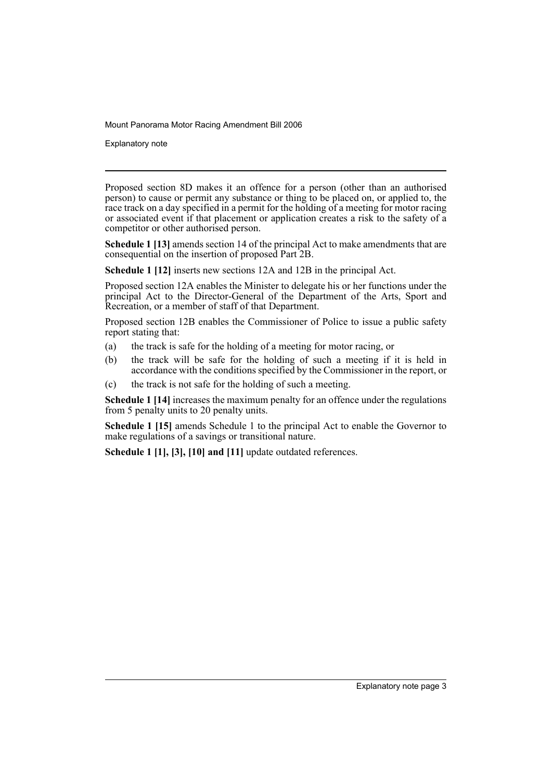Explanatory note

Proposed section 8D makes it an offence for a person (other than an authorised person) to cause or permit any substance or thing to be placed on, or applied to, the race track on a day specified in a permit for the holding of a meeting for motor racing or associated event if that placement or application creates a risk to the safety of a competitor or other authorised person.

**Schedule 1 [13]** amends section 14 of the principal Act to make amendments that are consequential on the insertion of proposed Part 2B.

**Schedule 1 [12]** inserts new sections 12A and 12B in the principal Act.

Proposed section 12A enables the Minister to delegate his or her functions under the principal Act to the Director-General of the Department of the Arts, Sport and Recreation, or a member of staff of that Department.

Proposed section 12B enables the Commissioner of Police to issue a public safety report stating that:

- (a) the track is safe for the holding of a meeting for motor racing, or
- (b) the track will be safe for the holding of such a meeting if it is held in accordance with the conditions specified by the Commissioner in the report, or
- (c) the track is not safe for the holding of such a meeting.

**Schedule 1 [14]** increases the maximum penalty for an offence under the regulations from 5 penalty units to 20 penalty units.

**Schedule 1 [15]** amends Schedule 1 to the principal Act to enable the Governor to make regulations of a savings or transitional nature.

**Schedule 1 [1], [3], [10] and [11]** update outdated references.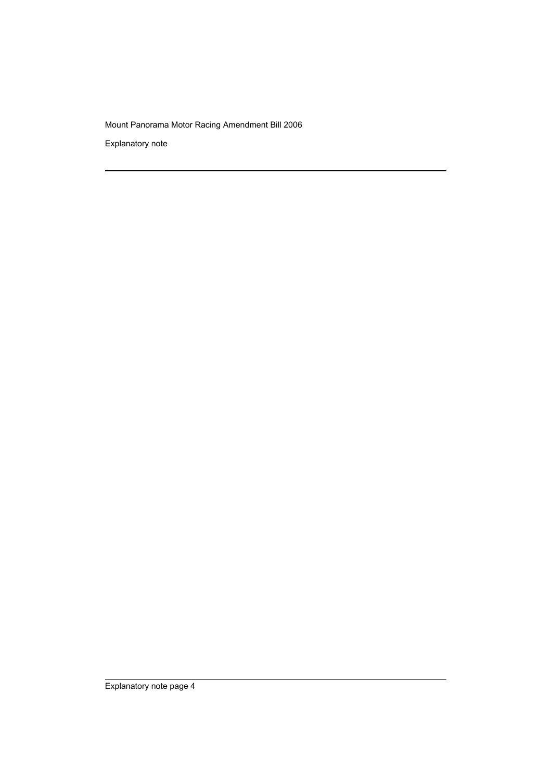Explanatory note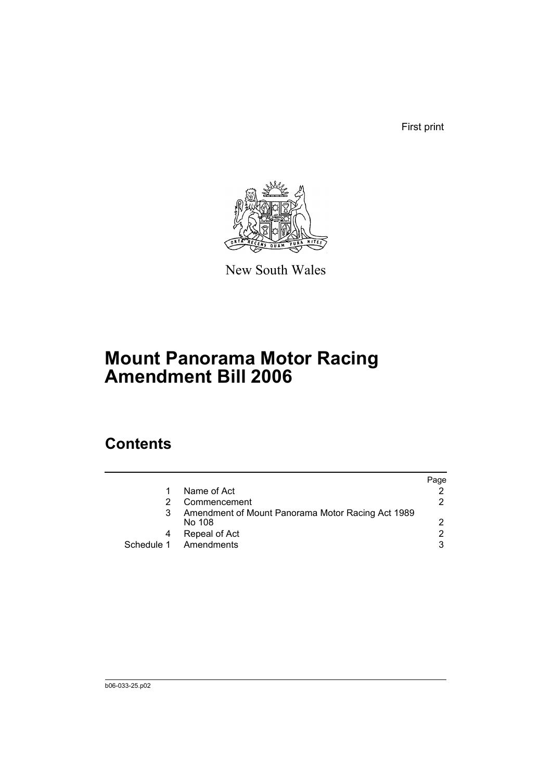First print



New South Wales

# **Mount Panorama Motor Racing Amendment Bill 2006**

## **Contents**

|   |                                                             | Page |
|---|-------------------------------------------------------------|------|
|   | Name of Act                                                 |      |
|   | Commencement                                                | 2    |
|   | Amendment of Mount Panorama Motor Racing Act 1989<br>No 108 | 2    |
| 4 | Repeal of Act                                               | 2    |
|   | Schedule 1 Amendments                                       | 3    |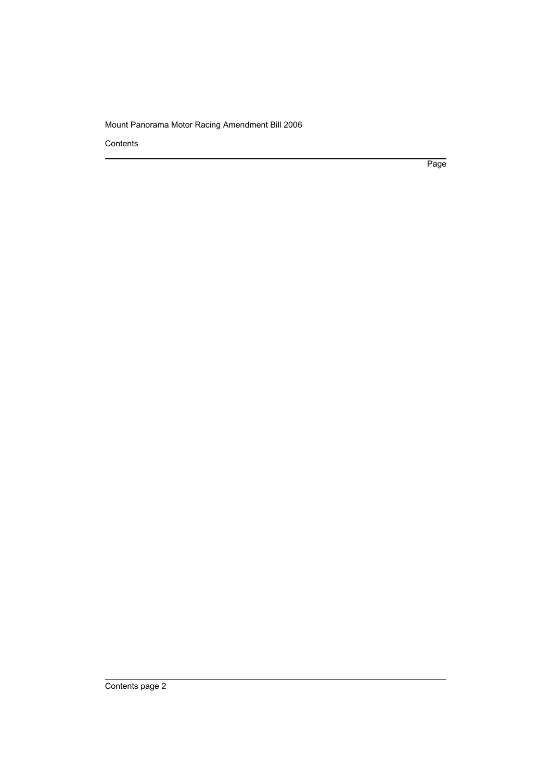Contents

Page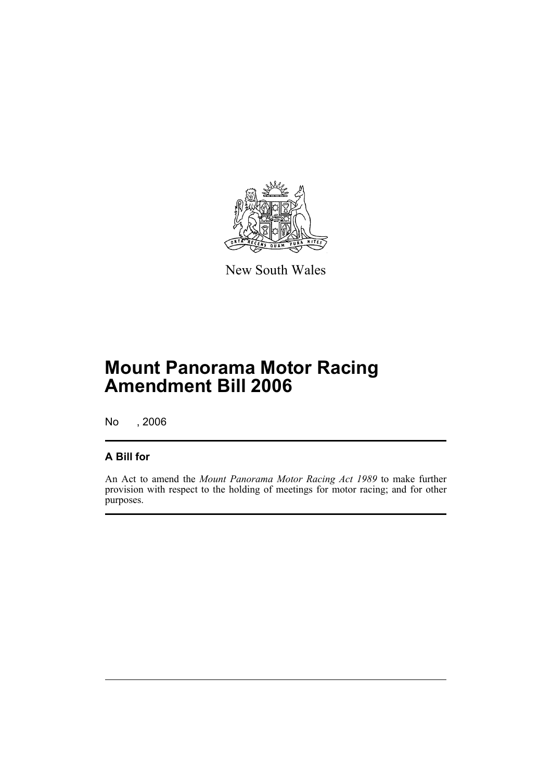

New South Wales

## **Mount Panorama Motor Racing Amendment Bill 2006**

No , 2006

#### **A Bill for**

An Act to amend the *Mount Panorama Motor Racing Act 1989* to make further provision with respect to the holding of meetings for motor racing; and for other purposes.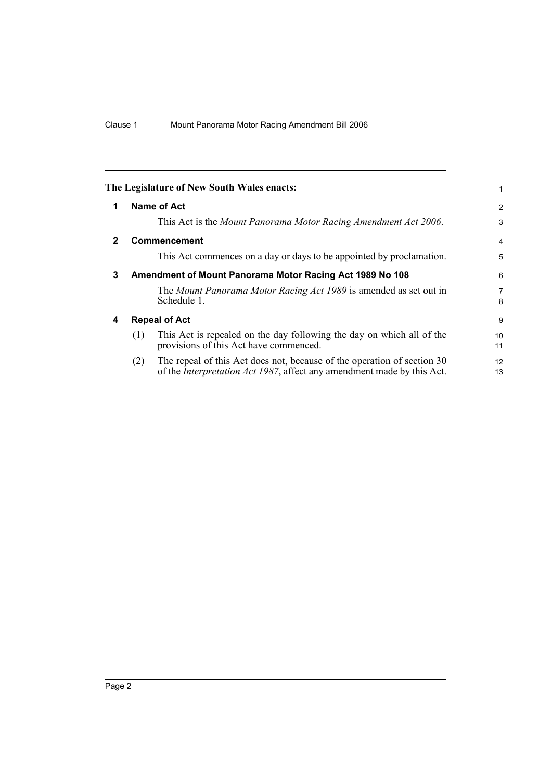|              | The Legislature of New South Wales enacts:                                                                                                                       | 1        |  |  |  |  |
|--------------|------------------------------------------------------------------------------------------------------------------------------------------------------------------|----------|--|--|--|--|
| 1            | Name of Act                                                                                                                                                      |          |  |  |  |  |
|              | This Act is the Mount Panorama Motor Racing Amendment Act 2006.                                                                                                  | 3        |  |  |  |  |
| $\mathbf{2}$ | <b>Commencement</b>                                                                                                                                              | 4        |  |  |  |  |
|              | This Act commences on a day or days to be appointed by proclamation.                                                                                             | 5        |  |  |  |  |
| 3            | Amendment of Mount Panorama Motor Racing Act 1989 No 108                                                                                                         |          |  |  |  |  |
|              | The Mount Panorama Motor Racing Act 1989 is amended as set out in<br>Schedule 1.                                                                                 | 7<br>8   |  |  |  |  |
| 4            | <b>Repeal of Act</b>                                                                                                                                             |          |  |  |  |  |
|              | This Act is repealed on the day following the day on which all of the<br>(1)<br>provisions of this Act have commenced.                                           | 10<br>11 |  |  |  |  |
|              | The repeal of this Act does not, because of the operation of section 30<br>(2)<br>of the <i>Interpretation Act 1987</i> , affect any amendment made by this Act. | 12<br>13 |  |  |  |  |
|              |                                                                                                                                                                  |          |  |  |  |  |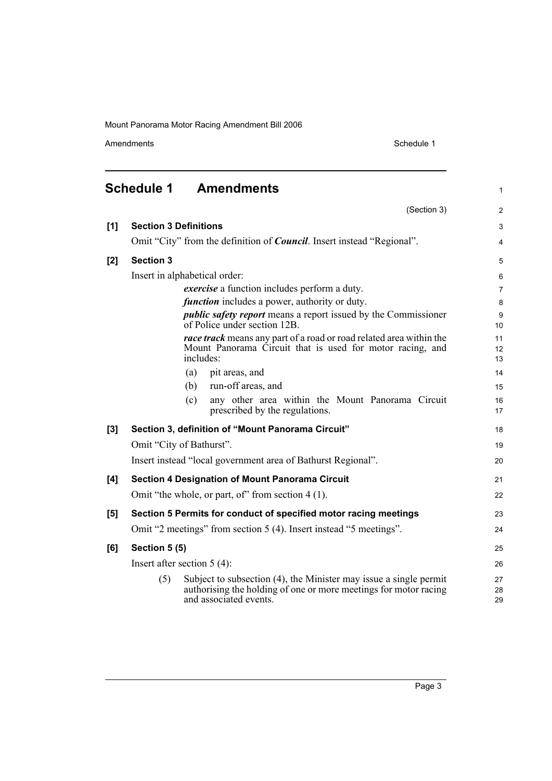Amendments Schedule 1

(Section 3)

1

2

| <b>Schedule 1</b> |  |  | <b>Amendments</b> |
|-------------------|--|--|-------------------|
|-------------------|--|--|-------------------|

| [1] | <b>Section 3 Definitions</b>                                                                                                                                           |                        |  |  |
|-----|------------------------------------------------------------------------------------------------------------------------------------------------------------------------|------------------------|--|--|
|     | Omit "City" from the definition of <i>Council</i> . Insert instead "Regional".                                                                                         | 4                      |  |  |
| [2] | <b>Section 3</b>                                                                                                                                                       | 5                      |  |  |
|     | Insert in alphabetical order:                                                                                                                                          | 6                      |  |  |
|     | exercise a function includes perform a duty.                                                                                                                           | $\overline{7}$         |  |  |
|     | <i>function</i> includes a power, authority or duty.                                                                                                                   | 8                      |  |  |
|     | <i>public safety report</i> means a report issued by the Commissioner<br>of Police under section 12B.                                                                  | $\boldsymbol{9}$<br>10 |  |  |
|     | <i>race track</i> means any part of a road or road related area within the<br>Mount Panorama Circuit that is used for motor racing, and<br>includes:                   | 11<br>12<br>13         |  |  |
|     | (a)<br>pit areas, and                                                                                                                                                  | 14                     |  |  |
|     | run-off areas, and<br>(b)                                                                                                                                              | 15                     |  |  |
|     | any other area within the Mount Panorama Circuit<br>(c)<br>prescribed by the regulations.                                                                              | 16<br>17               |  |  |
| [3] | Section 3, definition of "Mount Panorama Circuit"                                                                                                                      | 18                     |  |  |
|     | Omit "City of Bathurst".                                                                                                                                               | 19                     |  |  |
|     | Insert instead "local government area of Bathurst Regional".                                                                                                           | 20                     |  |  |
| [4] | <b>Section 4 Designation of Mount Panorama Circuit</b>                                                                                                                 | 21                     |  |  |
|     | Omit "the whole, or part, of" from section 4 (1).                                                                                                                      | 22                     |  |  |
| [5] | Section 5 Permits for conduct of specified motor racing meetings                                                                                                       | 23                     |  |  |
|     | Omit "2 meetings" from section 5 (4). Insert instead "5 meetings".                                                                                                     | 24                     |  |  |
| [6] | Section 5 (5)                                                                                                                                                          | 25                     |  |  |
|     | Insert after section $5(4)$ :                                                                                                                                          |                        |  |  |
|     | (5)<br>Subject to subsection (4), the Minister may issue a single permit<br>authorising the holding of one or more meetings for motor racing<br>and associated events. | 27<br>28<br>29         |  |  |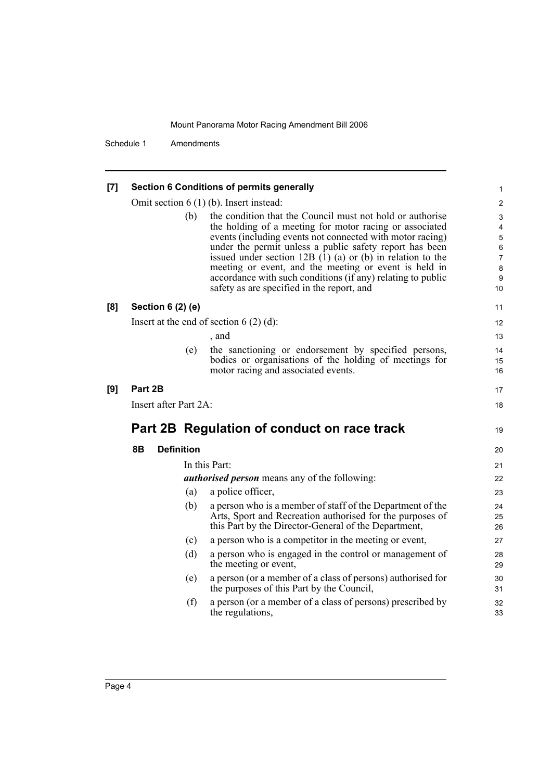Schedule 1 Amendments

| [7] |         |                       |     | <b>Section 6 Conditions of permits generally</b>                                                                                                                                                                                                                                                                                                                                                                                                                                   | 1                                                  |
|-----|---------|-----------------------|-----|------------------------------------------------------------------------------------------------------------------------------------------------------------------------------------------------------------------------------------------------------------------------------------------------------------------------------------------------------------------------------------------------------------------------------------------------------------------------------------|----------------------------------------------------|
|     |         |                       |     | Omit section $6(1)(b)$ . Insert instead:                                                                                                                                                                                                                                                                                                                                                                                                                                           | $\overline{c}$                                     |
|     |         |                       | (b) | the condition that the Council must not hold or authorise<br>the holding of a meeting for motor racing or associated<br>events (including events not connected with motor racing)<br>under the permit unless a public safety report has been<br>issued under section 12B $(1)$ (a) or (b) in relation to the<br>meeting or event, and the meeting or event is held in<br>accordance with such conditions (if any) relating to public<br>safety as are specified in the report, and | 3<br>4<br>5<br>6<br>$\overline{7}$<br>8<br>9<br>10 |
| [8] |         | Section 6 (2) (e)     |     |                                                                                                                                                                                                                                                                                                                                                                                                                                                                                    | 11                                                 |
|     |         |                       |     | Insert at the end of section $6(2)(d)$ :                                                                                                                                                                                                                                                                                                                                                                                                                                           | 12                                                 |
|     |         |                       |     | , and                                                                                                                                                                                                                                                                                                                                                                                                                                                                              | 13                                                 |
|     |         |                       | (e) | the sanctioning or endorsement by specified persons,<br>bodies or organisations of the holding of meetings for<br>motor racing and associated events.                                                                                                                                                                                                                                                                                                                              | 14<br>15<br>16                                     |
| [9] | Part 2B |                       |     |                                                                                                                                                                                                                                                                                                                                                                                                                                                                                    | 17                                                 |
|     |         | Insert after Part 2A: |     |                                                                                                                                                                                                                                                                                                                                                                                                                                                                                    | 18                                                 |
|     |         |                       |     | Part 2B Regulation of conduct on race track                                                                                                                                                                                                                                                                                                                                                                                                                                        | 19                                                 |
|     | 8B      | <b>Definition</b>     |     |                                                                                                                                                                                                                                                                                                                                                                                                                                                                                    | 20                                                 |
|     |         |                       |     | In this Part:                                                                                                                                                                                                                                                                                                                                                                                                                                                                      | 21                                                 |
|     |         |                       |     | <i>authorised person</i> means any of the following:                                                                                                                                                                                                                                                                                                                                                                                                                               | 22                                                 |
|     |         |                       | (a) | a police officer,                                                                                                                                                                                                                                                                                                                                                                                                                                                                  | 23                                                 |
|     |         |                       | (b) | a person who is a member of staff of the Department of the<br>Arts, Sport and Recreation authorised for the purposes of<br>this Part by the Director-General of the Department,                                                                                                                                                                                                                                                                                                    | 24<br>25<br>26                                     |
|     |         |                       | (c) | a person who is a competitor in the meeting or event,                                                                                                                                                                                                                                                                                                                                                                                                                              | 27                                                 |
|     |         |                       | (d) | a person who is engaged in the control or management of<br>the meeting or event,                                                                                                                                                                                                                                                                                                                                                                                                   | 28<br>29                                           |
|     |         |                       | (e) | a person (or a member of a class of persons) authorised for<br>the purposes of this Part by the Council,                                                                                                                                                                                                                                                                                                                                                                           | 30<br>31                                           |
|     |         |                       | (f) | a person (or a member of a class of persons) prescribed by<br>the regulations,                                                                                                                                                                                                                                                                                                                                                                                                     | 32<br>33                                           |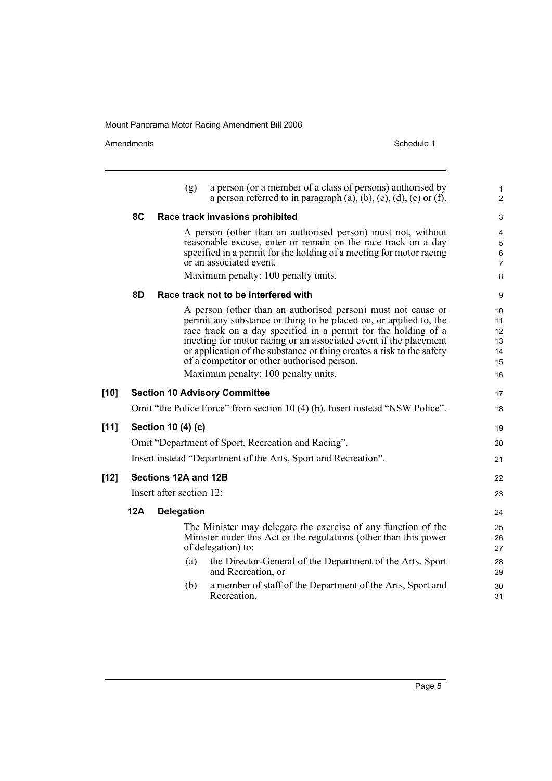Amendments Schedule 1

[10]

 $[11]$ 

**[12]** 

|     | (g)                      | a person (or a member of a class of persons) authorised by<br>a person referred to in paragraph $(a)$ , $(b)$ , $(c)$ , $(d)$ , $(e)$ or $(f)$ .                                                                                                                                                                                                                                                                                       | $\mathbf{1}$<br>$\overline{2}$         |
|-----|--------------------------|----------------------------------------------------------------------------------------------------------------------------------------------------------------------------------------------------------------------------------------------------------------------------------------------------------------------------------------------------------------------------------------------------------------------------------------|----------------------------------------|
| 8C  |                          | Race track invasions prohibited                                                                                                                                                                                                                                                                                                                                                                                                        | 3                                      |
|     |                          | A person (other than an authorised person) must not, without<br>reasonable excuse, enter or remain on the race track on a day<br>specified in a permit for the holding of a meeting for motor racing<br>or an associated event.                                                                                                                                                                                                        | 4<br>5<br>$\,6\,$<br>$\overline{7}$    |
|     |                          | Maximum penalty: 100 penalty units.                                                                                                                                                                                                                                                                                                                                                                                                    | 8                                      |
| 8D  |                          | Race track not to be interfered with                                                                                                                                                                                                                                                                                                                                                                                                   | 9                                      |
|     |                          | A person (other than an authorised person) must not cause or<br>permit any substance or thing to be placed on, or applied to, the<br>race track on a day specified in a permit for the holding of a<br>meeting for motor racing or an associated event if the placement<br>or application of the substance or thing creates a risk to the safety<br>of a competitor or other authorised person.<br>Maximum penalty: 100 penalty units. | 10<br>11<br>12<br>13<br>14<br>15<br>16 |
|     |                          | <b>Section 10 Advisory Committee</b>                                                                                                                                                                                                                                                                                                                                                                                                   | 17                                     |
|     |                          | Omit "the Police Force" from section 10 (4) (b). Insert instead "NSW Police".                                                                                                                                                                                                                                                                                                                                                          | 18                                     |
|     | Section 10 (4) (c)       |                                                                                                                                                                                                                                                                                                                                                                                                                                        | 19                                     |
|     |                          | Omit "Department of Sport, Recreation and Racing".                                                                                                                                                                                                                                                                                                                                                                                     | 20                                     |
|     |                          | Insert instead "Department of the Arts, Sport and Recreation".                                                                                                                                                                                                                                                                                                                                                                         | 21                                     |
|     | Sections 12A and 12B     |                                                                                                                                                                                                                                                                                                                                                                                                                                        | 22                                     |
|     | Insert after section 12: |                                                                                                                                                                                                                                                                                                                                                                                                                                        | 23                                     |
| 12A | <b>Delegation</b>        |                                                                                                                                                                                                                                                                                                                                                                                                                                        | 24                                     |
|     |                          | The Minister may delegate the exercise of any function of the<br>Minister under this Act or the regulations (other than this power<br>of delegation) to:                                                                                                                                                                                                                                                                               | 25<br>26<br>27                         |
|     | (a)                      | the Director-General of the Department of the Arts, Sport<br>and Recreation, or                                                                                                                                                                                                                                                                                                                                                        | 28<br>29                               |
|     | (b)                      | a member of staff of the Department of the Arts, Sport and<br>Recreation.                                                                                                                                                                                                                                                                                                                                                              | 30<br>31                               |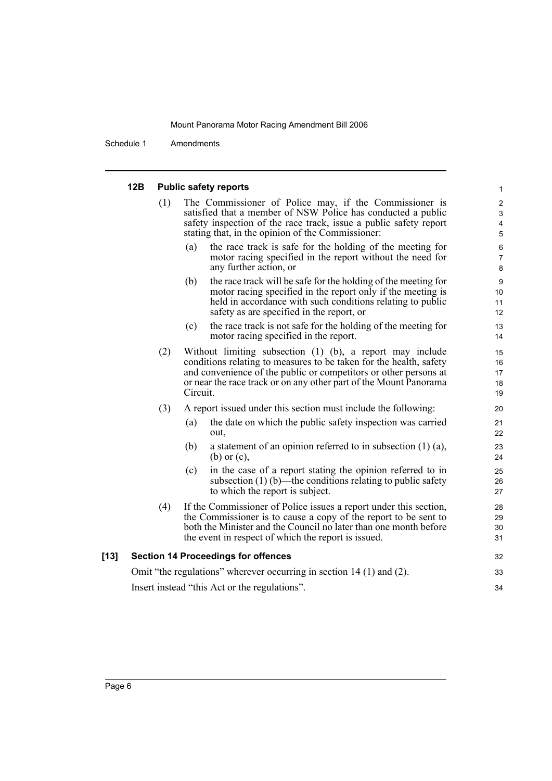Schedule 1 Amendments

#### **12B Public safety reports**

| 146                                           | <b>PUDIIC SATETY REPORTS</b>               |                                                                                                                                                                                                                                                                                      |                            |  |
|-----------------------------------------------|--------------------------------------------|--------------------------------------------------------------------------------------------------------------------------------------------------------------------------------------------------------------------------------------------------------------------------------------|----------------------------|--|
|                                               | (1)                                        | The Commissioner of Police may, if the Commissioner is<br>satisfied that a member of NSW Police has conducted a public<br>safety inspection of the race track, issue a public safety report<br>stating that, in the opinion of the Commissioner:                                     |                            |  |
|                                               |                                            | the race track is safe for the holding of the meeting for<br>(a)<br>motor racing specified in the report without the need for<br>any further action, or                                                                                                                              | 6<br>$\overline{7}$<br>8   |  |
|                                               |                                            | the race track will be safe for the holding of the meeting for<br>(b)<br>motor racing specified in the report only if the meeting is<br>held in accordance with such conditions relating to public<br>safety as are specified in the report, or                                      | 9<br>10<br>11<br>12        |  |
|                                               |                                            | the race track is not safe for the holding of the meeting for<br>(c)<br>motor racing specified in the report.                                                                                                                                                                        | 13<br>14                   |  |
|                                               | (2)                                        | Without limiting subsection (1) (b), a report may include<br>conditions relating to measures to be taken for the health, safety<br>and convenience of the public or competitors or other persons at<br>or near the race track or on any other part of the Mount Panorama<br>Circuit. | 15<br>16<br>17<br>18<br>19 |  |
|                                               | (3)                                        | A report issued under this section must include the following:                                                                                                                                                                                                                       | 20                         |  |
|                                               |                                            | the date on which the public safety inspection was carried<br>(a)<br>out,                                                                                                                                                                                                            | 21<br>22                   |  |
|                                               |                                            | a statement of an opinion referred to in subsection $(1)$ $(a)$ ,<br>(b)<br>(b) or $(c)$ ,                                                                                                                                                                                           | 23<br>24                   |  |
|                                               |                                            | in the case of a report stating the opinion referred to in<br>(c)<br>subsection $(1)$ (b)—the conditions relating to public safety<br>to which the report is subject.                                                                                                                | 25<br>26<br>27             |  |
|                                               | (4)                                        | If the Commissioner of Police issues a report under this section,<br>the Commissioner is to cause a copy of the report to be sent to<br>both the Minister and the Council no later than one month before<br>the event in respect of which the report is issued.                      | 28<br>29<br>30<br>31       |  |
|                                               | <b>Section 14 Proceedings for offences</b> |                                                                                                                                                                                                                                                                                      |                            |  |
|                                               |                                            | Omit "the regulations" wherever occurring in section 14 (1) and (2).                                                                                                                                                                                                                 | 33                         |  |
| Insert instead "this Act or the regulations". |                                            |                                                                                                                                                                                                                                                                                      |                            |  |

[13]